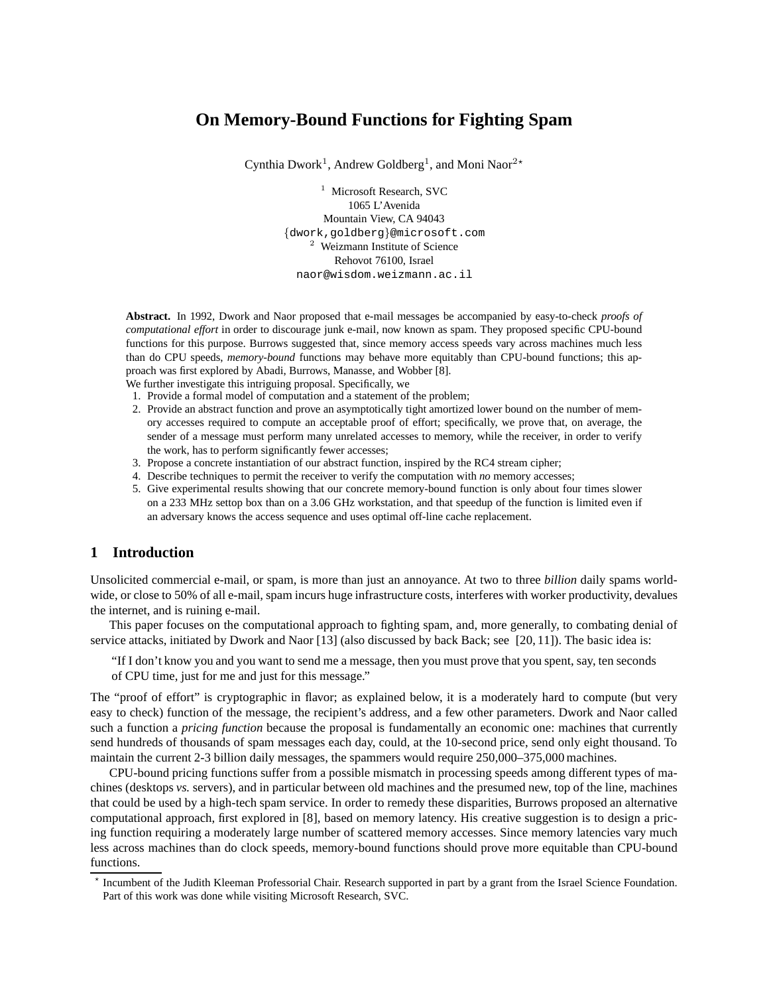# **On Memory-Bound Functions for Fighting Spam**

Cynthia Dwork<sup>1</sup>, Andrew Goldberg<sup>1</sup>, and Moni Naor<sup>2\*</sup>

<sup>1</sup> Microsoft Research, SVC 1065 L'Avenida Mountain View, CA 94043 {dwork,goldberg}@microsoft.com <sup>2</sup> Weizmann Institute of Science Rehovot 76100, Israel naor@wisdom.weizmann.ac.il

**Abstract.** In 1992, Dwork and Naor proposed that e-mail messages be accompanied by easy-to-check *proofs of computational effort* in order to discourage junk e-mail, now known as spam. They proposed specific CPU-bound functions for this purpose. Burrows suggested that, since memory access speeds vary across machines much less than do CPU speeds, *memory-bound* functions may behave more equitably than CPU-bound functions; this approach was first explored by Abadi, Burrows, Manasse, and Wobber [8].

We further investigate this intriguing proposal. Specifically, we

- 1. Provide a formal model of computation and a statement of the problem;
- 2. Provide an abstract function and prove an asymptotically tight amortized lower bound on the number of memory accesses required to compute an acceptable proof of effort; specifically, we prove that, on average, the sender of a message must perform many unrelated accesses to memory, while the receiver, in order to verify the work, has to perform significantly fewer accesses;
- 3. Propose a concrete instantiation of our abstract function, inspired by the RC4 stream cipher;
- 4. Describe techniques to permit the receiver to verify the computation with *no* memory accesses;
- 5. Give experimental results showing that our concrete memory-bound function is only about four times slower on a 233 MHz settop box than on a 3.06 GHz workstation, and that speedup of the function is limited even if an adversary knows the access sequence and uses optimal off-line cache replacement.

# **1 Introduction**

Unsolicited commercial e-mail, or spam, is more than just an annoyance. At two to three *billion* daily spams worldwide, or close to 50% of all e-mail, spam incurs huge infrastructure costs, interferes with worker productivity, devalues the internet, and is ruining e-mail.

This paper focuses on the computational approach to fighting spam, and, more generally, to combating denial of service attacks, initiated by Dwork and Naor [13] (also discussed by back Back; see [20, 11]). The basic idea is:

"If I don't know you and you want to send me a message, then you must prove that you spent, say, ten seconds of CPU time, just for me and just for this message."

The "proof of effort" is cryptographic in flavor; as explained below, it is a moderately hard to compute (but very easy to check) function of the message, the recipient's address, and a few other parameters. Dwork and Naor called such a function a *pricing function* because the proposal is fundamentally an economic one: machines that currently send hundreds of thousands of spam messages each day, could, at the 10-second price, send only eight thousand. To maintain the current 2-3 billion daily messages, the spammers would require 250,000–375,000 machines.

CPU-bound pricing functions suffer from a possible mismatch in processing speeds among different types of machines (desktops *vs.* servers), and in particular between old machines and the presumed new, top of the line, machines that could be used by a high-tech spam service. In order to remedy these disparities, Burrows proposed an alternative computational approach, first explored in [8], based on memory latency. His creative suggestion is to design a pricing function requiring a moderately large number of scattered memory accesses. Since memory latencies vary much less across machines than do clock speeds, memory-bound functions should prove more equitable than CPU-bound functions.

<sup>?</sup> Incumbent of the Judith Kleeman Professorial Chair. Research supported in part by a grant from the Israel Science Foundation. Part of this work was done while visiting Microsoft Research, SVC.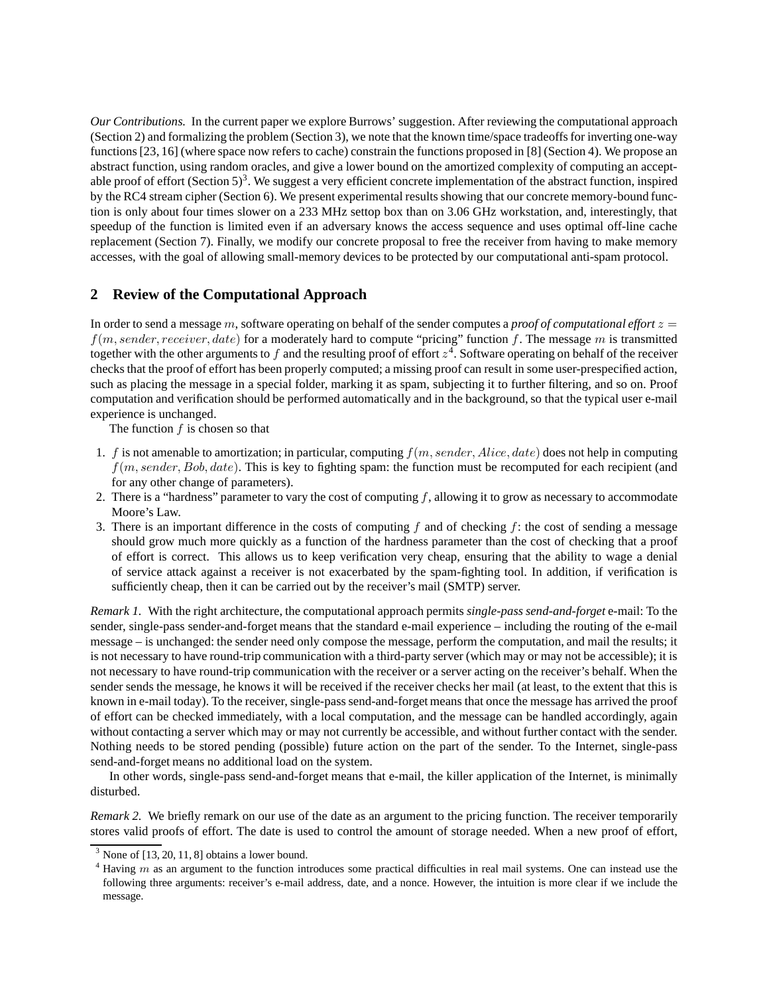*Our Contributions.* In the current paper we explore Burrows' suggestion. After reviewing the computational approach (Section 2) and formalizing the problem (Section 3), we note that the known time/space tradeoffsfor inverting one-way functions[23, 16] (where space now refers to cache) constrain the functions proposed in [8] (Section 4). We propose an abstract function, using random oracles, and give a lower bound on the amortized complexity of computing an acceptable proof of effort (Section  $5^3$ ). We suggest a very efficient concrete implementation of the abstract function, inspired by the RC4 stream cipher (Section 6). We present experimental results showing that our concrete memory-bound function is only about four times slower on a 233 MHz settop box than on 3.06 GHz workstation, and, interestingly, that speedup of the function is limited even if an adversary knows the access sequence and uses optimal off-line cache replacement (Section 7). Finally, we modify our concrete proposal to free the receiver from having to make memory accesses, with the goal of allowing small-memory devices to be protected by our computational anti-spam protocol.

# **2 Review of the Computational Approach**

In order to send a message m, software operating on behalf of the sender computes a *proof of computational effort*  $z =$  $f(m, sender, receiver, date)$  for a moderately hard to compute "pricing" function f. The message m is transmitted together with the other arguments to f and the resulting proof of effort  $z^4$ . Software operating on behalf of the receiver checks that the proof of effort has been properly computed; a missing proof can result in some user-prespecified action, such as placing the message in a special folder, marking it as spam, subjecting it to further filtering, and so on. Proof computation and verification should be performed automatically and in the background, so that the typical user e-mail experience is unchanged.

The function  $f$  is chosen so that

- 1. f is not amenable to amortization; in particular, computing  $f(m, sender, Alice, date)$  does not help in computing  $f(m, sender, Bob, date)$ . This is key to fighting spam: the function must be recomputed for each recipient (and for any other change of parameters).
- 2. There is a "hardness" parameter to vary the cost of computing  $f$ , allowing it to grow as necessary to accommodate Moore's Law.
- 3. There is an important difference in the costs of computing f and of checking f: the cost of sending a message should grow much more quickly as a function of the hardness parameter than the cost of checking that a proof of effort is correct. This allows us to keep verification very cheap, ensuring that the ability to wage a denial of service attack against a receiver is not exacerbated by the spam-fighting tool. In addition, if verification is sufficiently cheap, then it can be carried out by the receiver's mail (SMTP) server.

*Remark 1.* With the right architecture, the computational approach permits *single-pass send-and-forget* e-mail: To the sender, single-pass sender-and-forget means that the standard e-mail experience – including the routing of the e-mail message – is unchanged: the sender need only compose the message, perform the computation, and mail the results; it is not necessary to have round-trip communication with a third-party server (which may or may not be accessible); it is not necessary to have round-trip communication with the receiver or a server acting on the receiver's behalf. When the sender sends the message, he knows it will be received if the receiver checks her mail (at least, to the extent that this is known in e-mail today). To the receiver, single-pass send-and-forget means that once the message has arrived the proof of effort can be checked immediately, with a local computation, and the message can be handled accordingly, again without contacting a server which may or may not currently be accessible, and without further contact with the sender. Nothing needs to be stored pending (possible) future action on the part of the sender. To the Internet, single-pass send-and-forget means no additional load on the system.

In other words, single-pass send-and-forget means that e-mail, the killer application of the Internet, is minimally disturbed.

*Remark* 2. We briefly remark on our use of the date as an argument to the pricing function. The receiver temporarily stores valid proofs of effort. The date is used to control the amount of storage needed. When a new proof of effort,

 $3$  None of [13, 20, 11, 8] obtains a lower bound.

 $4$  Having  $m$  as an argument to the function introduces some practical difficulties in real mail systems. One can instead use the following three arguments: receiver's e-mail address, date, and a nonce. However, the intuition is more clear if we include the message.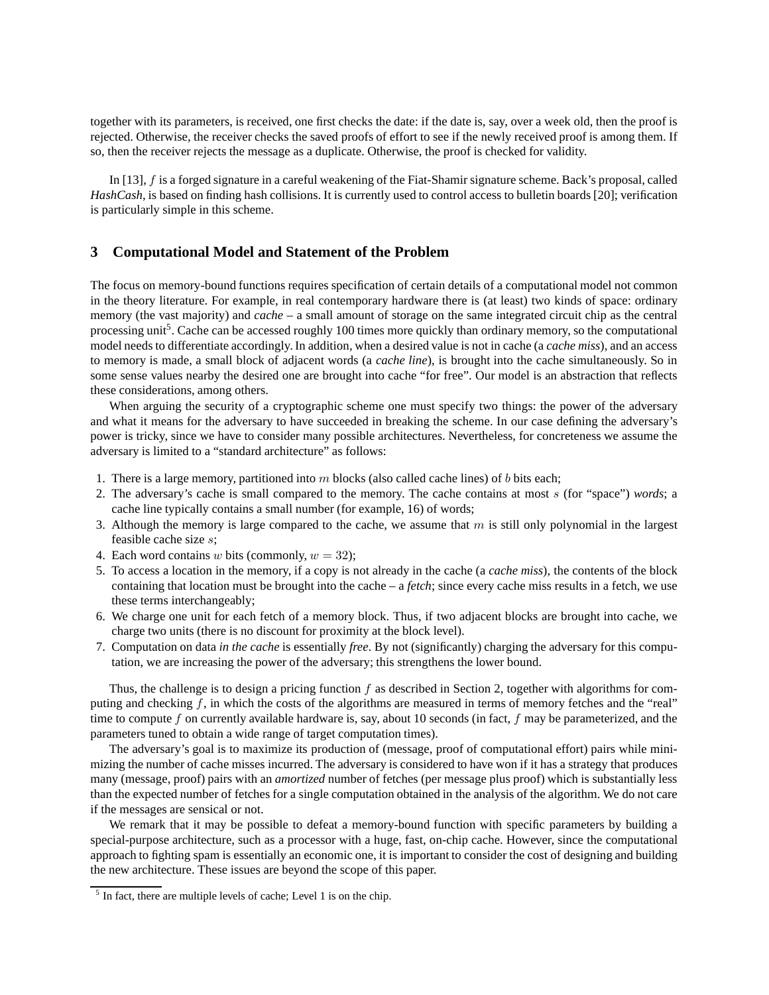together with its parameters, is received, one first checks the date: if the date is, say, over a week old, then the proof is rejected. Otherwise, the receiver checks the saved proofs of effort to see if the newly received proof is among them. If so, then the receiver rejects the message as a duplicate. Otherwise, the proof is checked for validity.

In [13], f is a forged signature in a careful weakening of the Fiat-Shamir signature scheme. Back's proposal, called *HashCash*, is based on finding hash collisions. It is currently used to control access to bulletin boards [20]; verification is particularly simple in this scheme.

# **3 Computational Model and Statement of the Problem**

The focus on memory-bound functions requires specification of certain details of a computational model not common in the theory literature. For example, in real contemporary hardware there is (at least) two kinds of space: ordinary memory (the vast majority) and *cache* – a small amount of storage on the same integrated circuit chip as the central processing unit<sup>5</sup>. Cache can be accessed roughly 100 times more quickly than ordinary memory, so the computational model needs to differentiate accordingly.In addition, when a desired value is not in cache (a *cache miss*), and an access to memory is made, a small block of adjacent words (a *cache line*), is brought into the cache simultaneously. So in some sense values nearby the desired one are brought into cache "for free". Our model is an abstraction that reflects these considerations, among others.

When arguing the security of a cryptographic scheme one must specify two things: the power of the adversary and what it means for the adversary to have succeeded in breaking the scheme. In our case defining the adversary's power is tricky, since we have to consider many possible architectures. Nevertheless, for concreteness we assume the adversary is limited to a "standard architecture" as follows:

- 1. There is a large memory, partitioned into  $m$  blocks (also called cache lines) of  $b$  bits each;
- 2. The adversary's cache is small compared to the memory. The cache contains at most s (for "space") *words*; a cache line typically contains a small number (for example, 16) of words;
- 3. Although the memory is large compared to the cache, we assume that  $m$  is still only polynomial in the largest feasible cache size s;
- 4. Each word contains w bits (commonly,  $w = 32$ );
- 5. To access a location in the memory, if a copy is not already in the cache (a *cache miss*), the contents of the block containing that location must be brought into the cache – a *fetch*; since every cache miss results in a fetch, we use these terms interchangeably;
- 6. We charge one unit for each fetch of a memory block. Thus, if two adjacent blocks are brought into cache, we charge two units (there is no discount for proximity at the block level).
- 7. Computation on data *in the cache* is essentially *free*. By not (significantly) charging the adversary for this computation, we are increasing the power of the adversary; this strengthens the lower bound.

Thus, the challenge is to design a pricing function  $f$  as described in Section 2, together with algorithms for computing and checking  $f$ , in which the costs of the algorithms are measured in terms of memory fetches and the "real" time to compute f on currently available hardware is, say, about 10 seconds (in fact,  $f$  may be parameterized, and the parameters tuned to obtain a wide range of target computation times).

The adversary's goal is to maximize its production of (message, proof of computational effort) pairs while minimizing the number of cache misses incurred. The adversary is considered to have won if it has a strategy that produces many (message, proof) pairs with an *amortized* number of fetches (per message plus proof) which is substantially less than the expected number of fetches for a single computation obtained in the analysis of the algorithm. We do not care if the messages are sensical or not.

We remark that it may be possible to defeat a memory-bound function with specific parameters by building a special-purpose architecture, such as a processor with a huge, fast, on-chip cache. However, since the computational approach to fighting spam is essentially an economic one, it is important to consider the cost of designing and building the new architecture. These issues are beyond the scope of this paper.

<sup>&</sup>lt;sup>5</sup> In fact, there are multiple levels of cache; Level 1 is on the chip.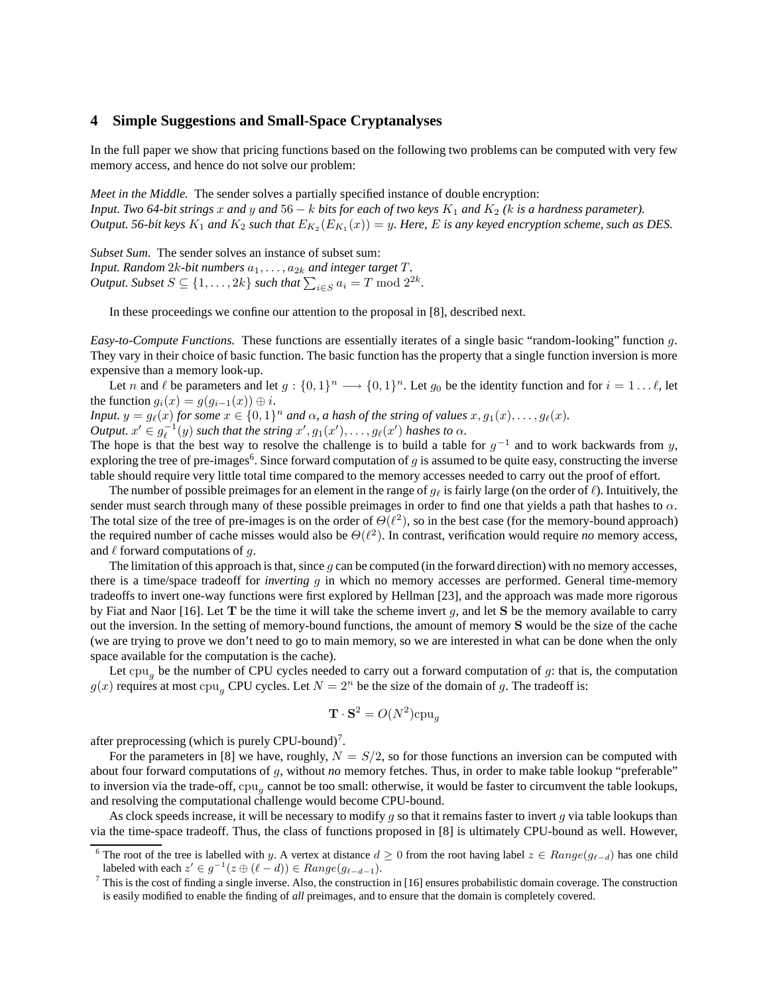# **4 Simple Suggestions and Small-Space Cryptanalyses**

In the full paper we show that pricing functions based on the following two problems can be computed with very few memory access, and hence do not solve our problem:

*Meet in the Middle.* The sender solves a partially specified instance of double encryption: Input. Two 64-bit strings x and y and 56 – k bits for each of two keys  $K_1$  and  $K_2$  (k is a hardness parameter). *Output.* 56-bit keys  $K_1$  and  $K_2$  such that  $E_{K_2}(E_{K_1}(x)) = y$ . Here, E is any keyed encryption scheme, such as DES.

*Subset Sum.* The sender solves an instance of subset sum: *Input. Random*  $2k$ *-bit numbers*  $a_1, \ldots, a_{2k}$  *and integer target*  $T$ *. Output. Subset*  $S \subseteq \{1, \ldots, 2k\}$  *such that*  $\sum_{i \in S} a_i = T \mod 2^{2k}$ *.* 

In these proceedings we confine our attention to the proposal in [8], described next.

*Easy-to-Compute Functions.* These functions are essentially iterates of a single basic "random-looking" function g. They vary in their choice of basic function. The basic function has the property that a single function inversion is more expensive than a memory look-up.

Let n and  $\ell$  be parameters and let  $g: \{0,1\}^n \longrightarrow \{0,1\}^n$ . Let  $g_0$  be the identity function and for  $i = 1 \ldots \ell$ , let the function  $g_i(x) = g(g_{i-1}(x)) \oplus i$ .

*Input.*  $y = g_{\ell}(x)$  *for some*  $x \in \{0, 1\}^n$  *and*  $\alpha$ *, a hash of the string of values*  $x, g_1(x), \ldots, g_{\ell}(x)$ *.* 

*Output.*  $x' \in g_{\ell}^{-1}(y)$  *such that the string*  $x', g_1(x'), \ldots, g_{\ell}(x')$  *hashes to*  $\alpha$ *.* 

The hope is that the best way to resolve the challenge is to build a table for  $g^{-1}$  and to work backwards from y, exploring the tree of pre-images<sup>6</sup>. Since forward computation of  $g$  is assumed to be quite easy, constructing the inverse table should require very little total time compared to the memory accesses needed to carry out the proof of effort.

The number of possible preimages for an element in the range of  $g_\ell$  is fairly large (on the order of  $\ell$ ). Intuitively, the sender must search through many of these possible preimages in order to find one that yields a path that hashes to  $\alpha$ . The total size of the tree of pre-images is on the order of  $\Theta(\ell^2)$ , so in the best case (for the memory-bound approach) the required number of cache misses would also be  $\Theta(\ell^2)$ . In contrast, verification would require *no* memory access, and  $\ell$  forward computations of g.

The limitation of this approach is that, since  $g$  can be computed (in the forward direction) with no memory accesses, there is a time/space tradeoff for *inverting* g in which no memory accesses are performed. General time-memory tradeoffs to invert one-way functions were first explored by Hellman [23], and the approach was made more rigorous by Fiat and Naor [16]. Let  $T$  be the time it will take the scheme invert g, and let  $S$  be the memory available to carry out the inversion. In the setting of memory-bound functions, the amount of memory S would be the size of the cache (we are trying to prove we don't need to go to main memory, so we are interested in what can be done when the only space available for the computation is the cache).

Let  $cpu<sub>a</sub>$  be the number of CPU cycles needed to carry out a forward computation of g: that is, the computation  $g(x)$  requires at most cpu<sub>g</sub> CPU cycles. Let  $N = 2<sup>n</sup>$  be the size of the domain of g. The tradeoff is:

$$
\mathbf{T} \cdot \mathbf{S}^2 = O(N^2) \text{cpu}_g
$$

after preprocessing (which is purely CPU-bound)<sup>7</sup>.

For the parameters in [8] we have, roughly,  $N = S/2$ , so for those functions an inversion can be computed with about four forward computations of g, without *no* memory fetches. Thus, in order to make table lookup "preferable" to inversion via the trade-off,  $cpu_g$  cannot be too small: otherwise, it would be faster to circumvent the table lookups, and resolving the computational challenge would become CPU-bound.

As clock speeds increase, it will be necessary to modify  $g$  so that it remains faster to invert  $g$  via table lookups than via the time-space tradeoff. Thus, the class of functions proposed in [8] is ultimately CPU-bound as well. However,

<sup>&</sup>lt;sup>6</sup> The root of the tree is labelled with y. A vertex at distance  $d \geq 0$  from the root having label  $z \in Range(g_{\ell-d})$  has one child labeled with each  $z' \in g^{-1}(z \oplus (\ell - d)) \in Range(g_{\ell - d - 1}).$ 

 $^7$  This is the cost of finding a single inverse. Also, the construction in [16] ensures probabilistic domain coverage. The construction is easily modified to enable the finding of *all* preimages, and to ensure that the domain is completely covered.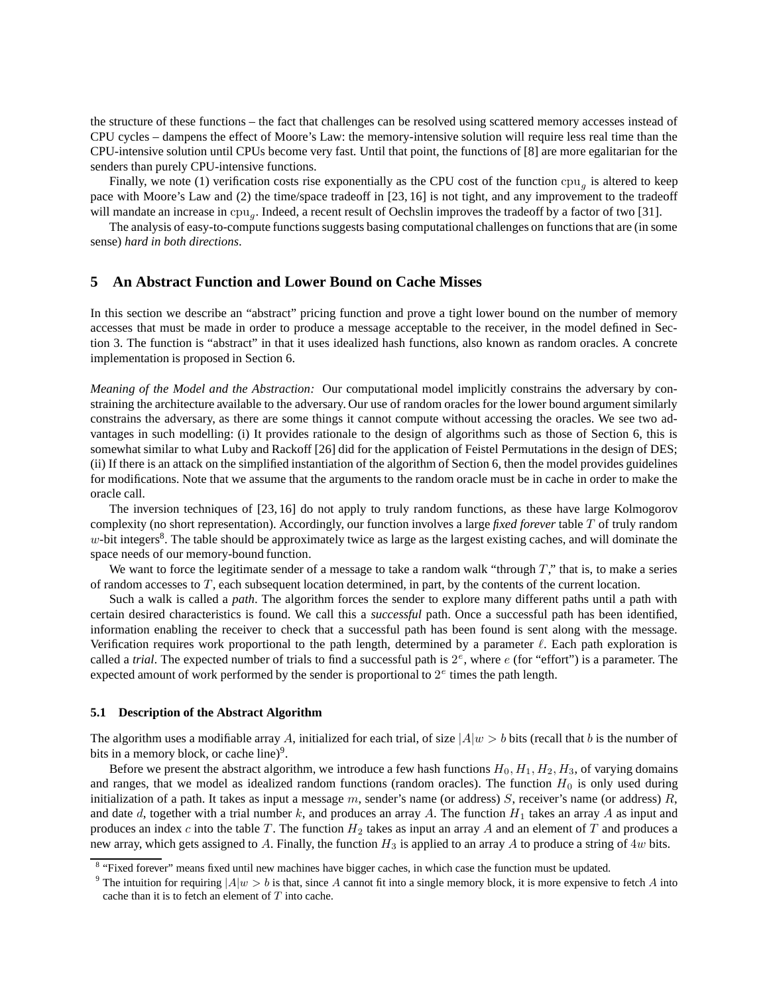the structure of these functions – the fact that challenges can be resolved using scattered memory accesses instead of CPU cycles – dampens the effect of Moore's Law: the memory-intensive solution will require less real time than the CPU-intensive solution until CPUs become very fast. Until that point, the functions of [8] are more egalitarian for the senders than purely CPU-intensive functions.

Finally, we note (1) verification costs rise exponentially as the CPU cost of the function  $cpu_g$  is altered to keep pace with Moore's Law and (2) the time/space tradeoff in [23, 16] is not tight, and any improvement to the tradeoff will mandate an increase in  $cpu_g$ . Indeed, a recent result of Oechslin improves the tradeoff by a factor of two [31].

The analysis of easy-to-compute functionssuggests basing computational challenges on functionsthat are (in some sense) *hard in both directions*.

### **5 An Abstract Function and Lower Bound on Cache Misses**

In this section we describe an "abstract" pricing function and prove a tight lower bound on the number of memory accesses that must be made in order to produce a message acceptable to the receiver, in the model defined in Section 3. The function is "abstract" in that it uses idealized hash functions, also known as random oracles. A concrete implementation is proposed in Section 6.

*Meaning of the Model and the Abstraction:* Our computational model implicitly constrains the adversary by constraining the architecture available to the adversary. Our use of random oracles for the lower bound argument similarly constrains the adversary, as there are some things it cannot compute without accessing the oracles. We see two advantages in such modelling: (i) It provides rationale to the design of algorithms such as those of Section 6, this is somewhat similar to what Luby and Rackoff [26] did for the application of Feistel Permutations in the design of DES; (ii) If there is an attack on the simplified instantiation of the algorithm of Section 6, then the model provides guidelines for modifications. Note that we assume that the arguments to the random oracle must be in cache in order to make the oracle call.

The inversion techniques of [23, 16] do not apply to truly random functions, as these have large Kolmogorov complexity (no short representation). Accordingly, our function involves a large *fixed forever* table T of truly random  $w$ -bit integers<sup>8</sup>. The table should be approximately twice as large as the largest existing caches, and will dominate the space needs of our memory-bound function.

We want to force the legitimate sender of a message to take a random walk "through  $T$ ," that is, to make a series of random accesses to T, each subsequent location determined, in part, by the contents of the current location.

Such a walk is called a *path*. The algorithm forces the sender to explore many different paths until a path with certain desired characteristics is found. We call this a *successful* path. Once a successful path has been identified, information enabling the receiver to check that a successful path has been found is sent along with the message. Verification requires work proportional to the path length, determined by a parameter  $\ell$ . Each path exploration is called a *trial*. The expected number of trials to find a successful path is  $2^e$ , where  $e$  (for "effort") is a parameter. The expected amount of work performed by the sender is proportional to  $2^e$  times the path length.

#### **5.1 Description of the Abstract Algorithm**

The algorithm uses a modifiable array A, initialized for each trial, of size  $|A|w > b$  bits (recall that b is the number of bits in a memory block, or cache line $)^9$ .

Before we present the abstract algorithm, we introduce a few hash functions  $H_0, H_1, H_2, H_3$ , of varying domains and ranges, that we model as idealized random functions (random oracles). The function  $H_0$  is only used during initialization of a path. It takes as input a message  $m$ , sender's name (or address) S, receiver's name (or address)  $R$ , and date d, together with a trial number k, and produces an array A. The function  $H_1$  takes an array A as input and produces an index c into the table T. The function  $H_2$  takes as input an array A and an element of T and produces a new array, which gets assigned to A. Finally, the function  $H_3$  is applied to an array A to produce a string of  $4w$  bits.

<sup>&</sup>lt;sup>8</sup> "Fixed forever" means fixed until new machines have bigger caches, in which case the function must be updated.

<sup>&</sup>lt;sup>9</sup> The intuition for requiring  $|A|w > b$  is that, since A cannot fit into a single memory block, it is more expensive to fetch A into cache than it is to fetch an element of  $T$  into cache.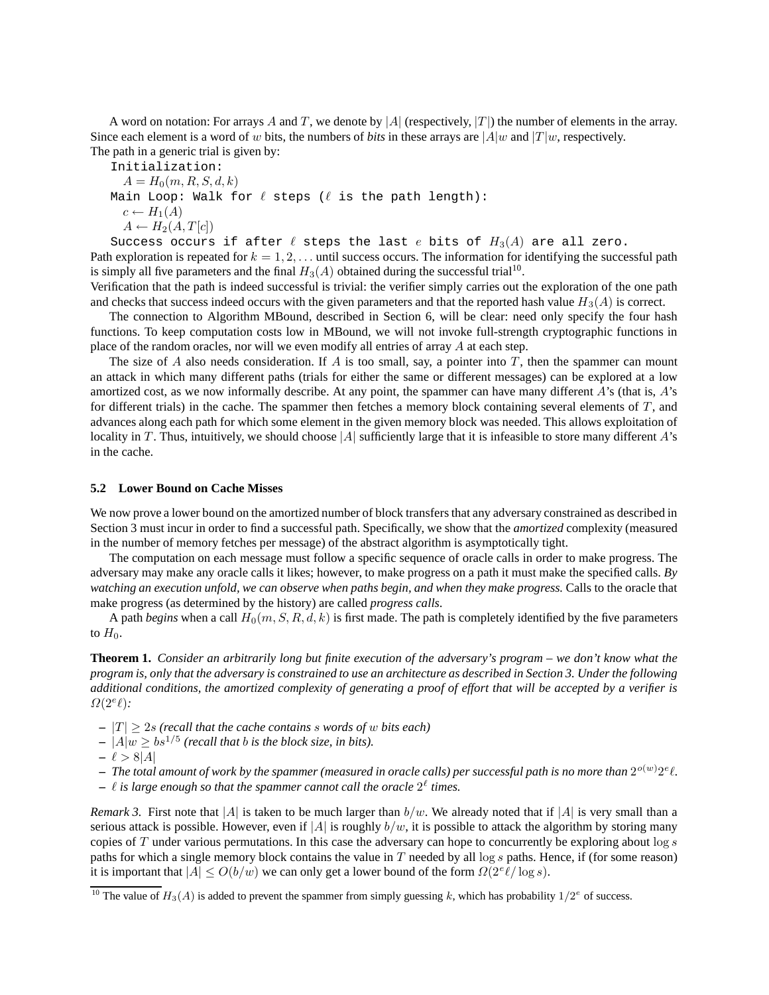A word on notation: For arrays A and T, we denote by  $|A|$  (respectively,  $|T|$ ) the number of elements in the array. Since each element is a word of w bits, the numbers of *bits* in these arrays are  $|A|w$  and  $|T|w$ , respectively. The path in a generic trial is given by:

Initialization:  $A = H_0(m, R, S, d, k)$ Main Loop: Walk for  $\ell$  steps ( $\ell$  is the path length):  $c \leftarrow H_1(A)$  $A \leftarrow H_2(A, T[c])$ 

Success occurs if after  $\ell$  steps the last  $e$  bits of  $H_3(A)$  are all zero. Path exploration is repeated for  $k = 1, 2, \ldots$  until success occurs. The information for identifying the successful path is simply all five parameters and the final  $H_3(A)$  obtained during the successful trial<sup>10</sup>.

Verification that the path is indeed successful is trivial: the verifier simply carries out the exploration of the one path and checks that success indeed occurs with the given parameters and that the reported hash value  $H_3(A)$  is correct.

The connection to Algorithm MBound, described in Section 6, will be clear: need only specify the four hash functions. To keep computation costs low in MBound, we will not invoke full-strength cryptographic functions in place of the random oracles, nor will we even modify all entries of array A at each step.

The size of A also needs consideration. If A is too small, say, a pointer into T, then the spammer can mount an attack in which many different paths (trials for either the same or different messages) can be explored at a low amortized cost, as we now informally describe. At any point, the spammer can have many different A's (that is, A's for different trials) in the cache. The spammer then fetches a memory block containing several elements of  $T$ , and advances along each path for which some element in the given memory block was needed. This allows exploitation of locality in T. Thus, intuitively, we should choose |A| sufficiently large that it is infeasible to store many different A's in the cache.

#### **5.2 Lower Bound on Cache Misses**

We now prove a lower bound on the amortized number of block transfers that any adversary constrained as described in Section 3 must incur in order to find a successful path. Specifically, we show that the *amortized* complexity (measured in the number of memory fetches per message) of the abstract algorithm is asymptotically tight.

The computation on each message must follow a specific sequence of oracle calls in order to make progress. The adversary may make any oracle calls it likes; however, to make progress on a path it must make the specified calls. *By watching an execution unfold, we can observe when paths begin, and when they make progress.* Calls to the oracle that make progress (as determined by the history) are called *progress calls*.

A path *begins* when a call  $H_0(m, S, R, d, k)$  is first made. The path is completely identified by the five parameters to  $H_0$ .

**Theorem 1.** Consider an arbitrarily long but finite execution of the adversary's program – we don't know what the program is, only that the adversary is constrained to use an architecture as described in Section 3. Under the following additional conditions, the amortized complexity of generating a proof of effort that will be accepted by a verifier is  $\Omega(2^e\ell)$ *:* 

- $-|T| \geq 2s$  *(recall that the cache contains s words of w bits each)*
- $|A|w \geq bs^{1/5}$  (recall that b is the block size, in bits).
- $\ell > 8|A|$
- The total amount of work by the spammer (measured in oracle calls) per successful path is no more than  $2^{o(w)}2^e\ell$ .
- $\ell$  *is large enough so that the spammer cannot call the oracle*  $2^{\ell}$  *times.*

*Remark* 3. First note that |A| is taken to be much larger than  $b/w$ . We already noted that if |A| is very small than a serious attack is possible. However, even if |A| is roughly  $b/w$ , it is possible to attack the algorithm by storing many copies of T under various permutations. In this case the adversary can hope to concurrently be exploring about  $\log s$ paths for which a single memory block contains the value in T needed by all log s paths. Hence, if (for some reason) it is important that  $|A| \le O(b/w)$  we can only get a lower bound of the form  $\Omega(2^e \ell / \log s)$ .

<sup>&</sup>lt;sup>10</sup> The value of  $H_3(A)$  is added to prevent the spammer from simply guessing k, which has probability  $1/2^e$  of success.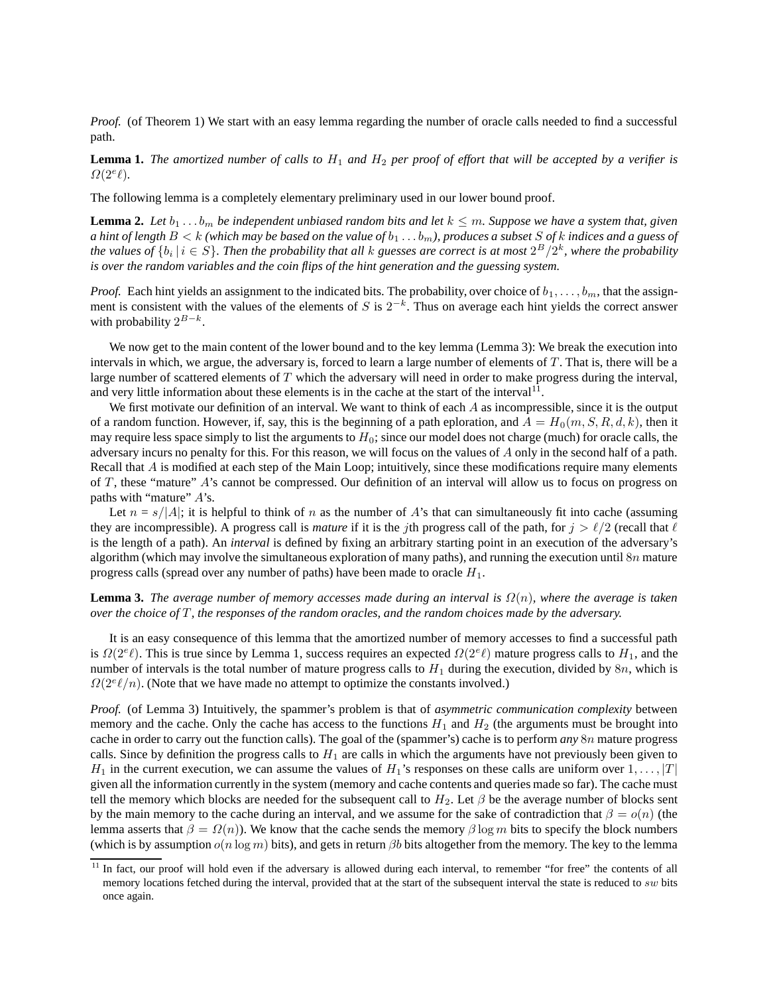*Proof.* (of Theorem 1) We start with an easy lemma regarding the number of oracle calls needed to find a successful path.

**Lemma 1.** The amortized number of calls to  $H_1$  and  $H_2$  per proof of effort that will be accepted by a verifier is  $\Omega(2^e\ell)$ .

The following lemma is a completely elementary preliminary used in our lower bound proof.

**Lemma 2.** Let  $b_1 \nldots b_m$  be independent unbiased random bits and let  $k \leq m$ . Suppose we have a system that, given a hint of length  $B < k$  (which may be based on the value of  $b_1 \ldots b_m$ ), produces a subset S of k indices and a guess of the values of  $\{b_i\,|\,i\in S\}.$  Then the probability that all  $k$  guesses are correct is at most  $2^B/2^k$ , where the probability *is over the random variables and the coin flips of the hint generation and the guessing system.*

*Proof.* Each hint yields an assignment to the indicated bits. The probability, over choice of  $b_1, \ldots, b_m$ , that the assignment is consistent with the values of the elements of S is  $2^{-k}$ . Thus on average each hint yields the correct answer with probability  $2^{B-k}$ .

We now get to the main content of the lower bound and to the key lemma (Lemma 3): We break the execution into intervals in which, we argue, the adversary is, forced to learn a large number of elements of  $T$ . That is, there will be a large number of scattered elements of T which the adversary will need in order to make progress during the interval, and very little information about these elements is in the cache at the start of the interval<sup>11</sup>.

We first motivate our definition of an interval. We want to think of each A as incompressible, since it is the output of a random function. However, if, say, this is the beginning of a path eploration, and  $A = H_0(m, S, R, d, k)$ , then it may require less space simply to list the arguments to  $H_0$ ; since our model does not charge (much) for oracle calls, the adversary incurs no penalty for this. For this reason, we will focus on the values of A only in the second half of a path. Recall that A is modified at each step of the Main Loop; intuitively, since these modifications require many elements of T, these "mature"  $A$ 's cannot be compressed. Our definition of an interval will allow us to focus on progress on paths with "mature" A's.

Let  $n = s/|A|$ ; it is helpful to think of n as the number of A's that can simultaneously fit into cache (assuming they are incompressible). A progress call is *mature* if it is the *j*th progress call of the path, for  $j > l/2$  (recall that  $l$ is the length of a path). An *interval* is defined by fixing an arbitrary starting point in an execution of the adversary's algorithm (which may involve the simultaneous exploration of many paths), and running the execution until  $8n$  mature progress calls (spread over any number of paths) have been made to oracle  $H_1$ .

**Lemma 3.** The average number of memory accesses made during an interval is  $\Omega(n)$ , where the average is taken over the choice of  $T$ , the responses of the random oracles, and the random choices made by the adversary.

It is an easy consequence of this lemma that the amortized number of memory accesses to find a successful path is  $\Omega(2^e\ell)$ . This is true since by Lemma 1, success requires an expected  $\Omega(2^e\ell)$  mature progress calls to  $H_1$ , and the number of intervals is the total number of mature progress calls to  $H_1$  during the execution, divided by  $8n$ , which is  $\Omega(2^e\ell/n)$ . (Note that we have made no attempt to optimize the constants involved.)

*Proof.* (of Lemma 3) Intuitively, the spammer's problem is that of *asymmetric communication complexity* between memory and the cache. Only the cache has access to the functions  $H_1$  and  $H_2$  (the arguments must be brought into cache in order to carry out the function calls). The goal of the (spammer's) cache is to perform *any* 8n mature progress calls. Since by definition the progress calls to  $H_1$  are calls in which the arguments have not previously been given to  $H_1$  in the current execution, we can assume the values of  $H_1$ 's responses on these calls are uniform over  $1, \ldots, |T|$ given all the information currently in the system (memory and cache contents and queries made so far). The cache must tell the memory which blocks are needed for the subsequent call to  $H_2$ . Let  $\beta$  be the average number of blocks sent by the main memory to the cache during an interval, and we assume for the sake of contradiction that  $\beta = o(n)$  (the lemma asserts that  $\beta = \Omega(n)$ ). We know that the cache sends the memory  $\beta \log m$  bits to specify the block numbers (which is by assumption  $o(n \log m)$  bits), and gets in return  $\beta b$  bits altogether from the memory. The key to the lemma

<sup>&</sup>lt;sup>11</sup> In fact, our proof will hold even if the adversary is allowed during each interval, to remember "for free" the contents of all memory locations fetched during the interval, provided that at the start of the subsequent interval the state is reduced to sw bits once again.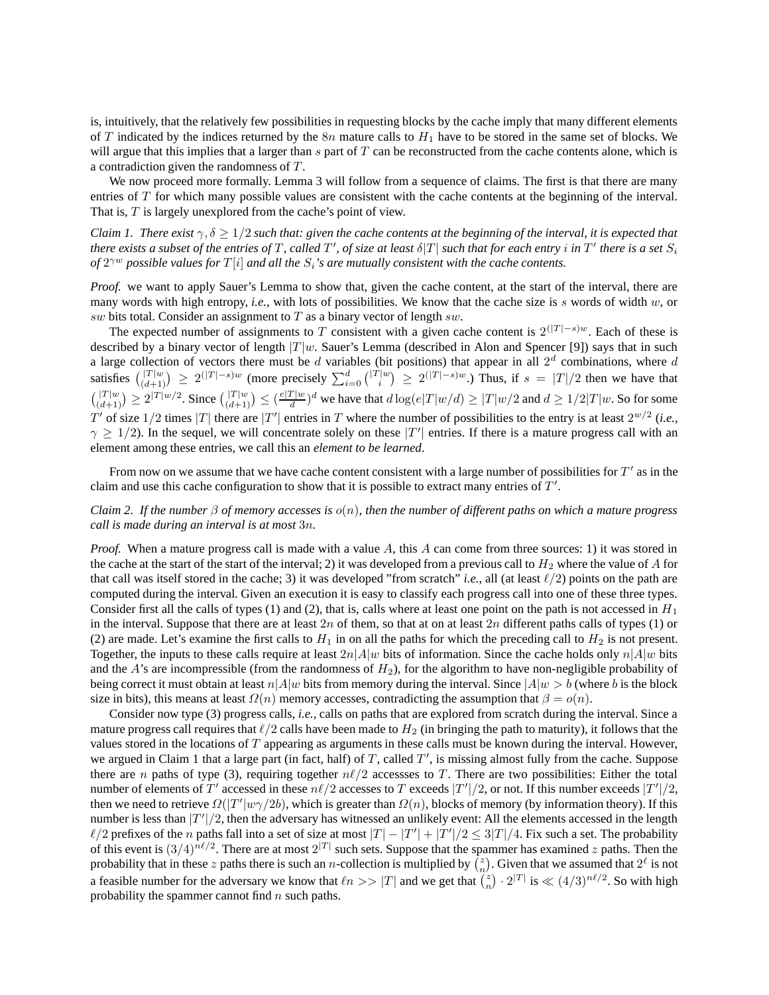is, intuitively, that the relatively few possibilities in requesting blocks by the cache imply that many different elements of T indicated by the indices returned by the  $8n$  mature calls to  $H_1$  have to be stored in the same set of blocks. We will argue that this implies that a larger than  $s$  part of  $T$  can be reconstructed from the cache contents alone, which is a contradiction given the randomness of T.

We now proceed more formally. Lemma 3 will follow from a sequence of claims. The first is that there are many entries of  $T$  for which many possible values are consistent with the cache contents at the beginning of the interval. That is, T is largely unexplored from the cache's point of view.

Claim 1. There exist  $\gamma, \delta \ge 1/2$  such that: given the cache contents at the beginning of the interval, it is expected that there exists a subset of the entries of  $T$ , called  $T'$ , of size at least  $\delta|T|$  such that for each entry  $i$  in  $T'$  there is a set  $S_i$  $of 2^{\gamma w}$  possible values for  $T[i]$  and all the  $S_i$ 's are mutually consistent with the cache contents.

*Proof.* we want to apply Sauer's Lemma to show that, given the cache content, at the start of the interval, there are many words with high entropy, *i.e.*, with lots of possibilities. We know that the cache size is s words of width w, or sw bits total. Consider an assignment to  $T$  as a binary vector of length sw.

The expected number of assignments to T consistent with a given cache content is  $2^{(|T|-s)w}$ . Each of these is described by a binary vector of length  $|T|w$ . Sauer's Lemma (described in Alon and Spencer [9]) says that in such a large collection of vectors there must be d variables (bit positions) that appear in all  $2^d$  combinations, where d satisfies  $\binom{|T|w}{(d+1)}$  $\binom{|T|w}{(d+1)} \geq 2^{(|T|-s)w}$  (more precisely  $\sum_{i=0}^{d} {\binom{|T|w}{i}} \geq 2^{(|T|-s)w}$ .) Thus, if  $s = |T|/2$  then we have that  $\binom{|T|w}{\binom{d+1}{2}}$  $\binom{|T|w}{(d+1)} \geq 2^{|T|w/2}$ . Since  $\binom{|T|w}{(d+1)}$  $\binom{|T|w}{(d+1)} \leq \left(\frac{e|T|w}{d}\right)$  $\frac{d\Gamma|w}{d}$  )<sup>d</sup> we have that  $d\log(e|T|w/d) \ge |T|w/2$  and  $d \ge 1/2|T|w$ . So for some T' of size  $1/2$  times |T| there are |T'| entries in T where the number of possibilities to the entry is at least  $2^{w/2}$  (*i.e.*,  $\gamma \geq 1/2$ ). In the sequel, we will concentrate solely on these  $|T'|$  entries. If there is a mature progress call with an element among these entries, we call this an *element to be learned*.

From now on we assume that we have cache content consistent with a large number of possibilities for  $T'$  as in the claim and use this cache configuration to show that it is possible to extract many entries of  $T'$ .

Claim 2. If the number  $\beta$  of memory accesses is  $o(n)$ , then the number of different paths on which a mature progress *call is made during an interval is at most* 3n*.*

*Proof.* When a mature progress call is made with a value A, this A can come from three sources: 1) it was stored in the cache at the start of the start of the interval; 2) it was developed from a previous call to  $H_2$  where the value of A for that call was itself stored in the cache; 3) it was developed "from scratch" *i.e.*, all (at least  $\ell/2$ ) points on the path are computed during the interval. Given an execution it is easy to classify each progress call into one of these three types. Consider first all the calls of types (1) and (2), that is, calls where at least one point on the path is not accessed in  $H_1$ in the interval. Suppose that there are at least  $2n$  of them, so that at on at least  $2n$  different paths calls of types (1) or (2) are made. Let's examine the first calls to  $H_1$  in on all the paths for which the preceding call to  $H_2$  is not present. Together, the inputs to these calls require at least  $2n|A|w$  bits of information. Since the cache holds only  $n|A|w$  bits and the A's are incompressible (from the randomness of  $H_2$ ), for the algorithm to have non-negligible probability of being correct it must obtain at least  $n|A|w$  bits from memory during the interval. Since  $|A|w > b$  (where b is the block size in bits), this means at least  $\Omega(n)$  memory accesses, contradicting the assumption that  $\beta = o(n)$ .

Consider now type (3) progress calls, *i.e.*, calls on paths that are explored from scratch during the interval. Since a mature progress call requires that  $\ell/2$  calls have been made to  $H_2$  (in bringing the path to maturity), it follows that the values stored in the locations of T appearing as arguments in these calls must be known during the interval. However, we argued in Claim 1 that a large part (in fact, half) of  $T$ , called  $T'$ , is missing almost fully from the cache. Suppose there are n paths of type (3), requiring together  $n\ell/2$  accessses to T. There are two possibilities: Either the total number of elements of T' accessed in these  $n\ell/2$  accesses to T exceeds  $|T'|/2$ , or not. If this number exceeds  $|T'|/2$ , then we need to retrieve  $\Omega(|T'|w\gamma/2b)$ , which is greater than  $\Omega(n)$ , blocks of memory (by information theory). If this number is less than  $|T'|/2$ , then the adversary has witnessed an unlikely event: All the elements accessed in the length  $\ell/2$  prefixes of the n paths fall into a set of size at most  $|T| - |T'| + |T'|/2 \leq 3|T|/4$ . Fix such a set. The probability of this event is  $(3/4)^{n\ell/2}$ . There are at most  $2^{|T|}$  such sets. Suppose that the spammer has examined z paths. Then the probability that in these z paths there is such an *n*-collection is multiplied by  $\binom{z}{n}$ . Given that we assumed that  $2^{\ell}$  is not a feasible number for the adversary we know that  $ln \gg |T|$  and we get that  $\binom{z}{n} \cdot 2^{|T|}$  is  $\ll (4/3)^{n\ell/2}$ . So with high probability the spammer cannot find  $n$  such paths.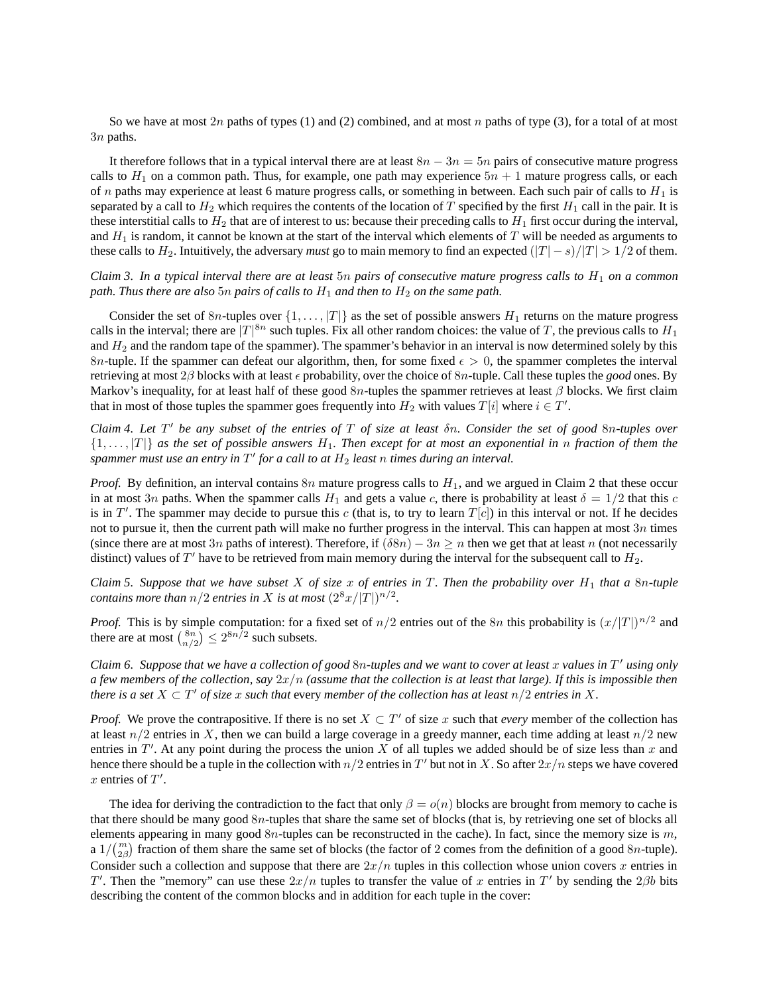So we have at most 2n paths of types (1) and (2) combined, and at most n paths of type (3), for a total of at most 3n paths.

It therefore follows that in a typical interval there are at least  $8n - 3n = 5n$  pairs of consecutive mature progress calls to  $H_1$  on a common path. Thus, for example, one path may experience  $5n + 1$  mature progress calls, or each of n paths may experience at least 6 mature progress calls, or something in between. Each such pair of calls to  $H_1$  is separated by a call to  $H_2$  which requires the contents of the location of T specified by the first  $H_1$  call in the pair. It is these interstitial calls to  $H_2$  that are of interest to us: because their preceding calls to  $H_1$  first occur during the interval, and  $H_1$  is random, it cannot be known at the start of the interval which elements of T will be needed as arguments to these calls to  $H_2$ . Intuitively, the adversary *must* go to main memory to find an expected  $(|T| - s)/|T| > 1/2$  of them.

Claim 3. In a typical interval there are at least 5n pairs of consecutive mature progress calls to  $H_1$  on a common *path. Thus there are also* 5*n pairs of calls to*  $H_1$  *and then to*  $H_2$  *on the same path.* 

Consider the set of 8n-tuples over  $\{1, \ldots, |T|\}$  as the set of possible answers  $H_1$  returns on the mature progress calls in the interval; there are  $|T|^{8n}$  such tuples. Fix all other random choices: the value of T, the previous calls to  $H_1$ and  $H_2$  and the random tape of the spammer). The spammer's behavior in an interval is now determined solely by this 8*n*-tuple. If the spammer can defeat our algorithm, then, for some fixed  $\epsilon > 0$ , the spammer completes the interval retrieving at most 2β blocks with at least probability, over the choice of 8n-tuple. Call these tuples the *good* ones. By Markov's inequality, for at least half of these good 8n-tuples the spammer retrieves at least  $\beta$  blocks. We first claim that in most of those tuples the spammer goes frequently into  $H_2$  with values  $T[i]$  where  $i \in T'$ .

Claim 4. Let  $T'$  be any subset of the entries of  $T$  of size at least  $\delta n$ . Consider the set of good 8n-tuples over  $\{1,\ldots,|T|\}$  as the set of possible answers  $H_1$ . Then except for at most an exponential in n fraction of them the *spammer must use an entry in* T 0 *for a call to at* H<sup>2</sup> *least* n *times during an interval.*

*Proof.* By definition, an interval contains  $8n$  mature progress calls to  $H_1$ , and we argued in Claim 2 that these occur in at most 3n paths. When the spammer calls  $H_1$  and gets a value c, there is probability at least  $\delta = 1/2$  that this c is in T'. The spammer may decide to pursue this c (that is, to try to learn  $T[c]$ ) in this interval or not. If he decides not to pursue it, then the current path will make no further progress in the interval. This can happen at most  $3n$  times (since there are at most 3n paths of interest). Therefore, if  $(\delta 8n) - 3n \ge n$  then we get that at least n (not necessarily distinct) values of  $T'$  have to be retrieved from main memory during the interval for the subsequent call to  $H_2$ .

Claim 5. Suppose that we have subset X of size x of entries in T. Then the probability over  $H_1$  that a 8n-tuple *contains more than*  $n/2$  *entries in* X *is at most*  $(2^8x/|T|)^{n/2}$ *.* 

*Proof.* This is by simple computation: for a fixed set of  $n/2$  entries out of the 8n this probability is  $(x/|T|)^{n/2}$  and there are at most  $\binom{8n}{n/2} \leq 2^{8n/2}$  such subsets.

Claim 6. Suppose that we have a collection of good 8n-tuples and we want to cover at least x values in  $T'$  using only a few members of the collection, say  $2x/n$  (assume that the collection is at least that large). If this is impossible then there is a set  $X \subset T'$  of size x such that every member of the collection has at least  $n/2$  entries in X.

*Proof.* We prove the contrapositive. If there is no set  $X \subset T'$  of size x such that *every* member of the collection has at least  $n/2$  entries in X, then we can build a large coverage in a greedy manner, each time adding at least  $n/2$  new entries in  $T'$ . At any point during the process the union X of all tuples we added should be of size less than x and hence there should be a tuple in the collection with  $n/2$  entries in  $T'$  but not in X. So after  $2x/n$  steps we have covered x entries of  $T'$ .

The idea for deriving the contradiction to the fact that only  $\beta = o(n)$  blocks are brought from memory to cache is that there should be many good 8n-tuples that share the same set of blocks (that is, by retrieving one set of blocks all elements appearing in many good  $8n$ -tuples can be reconstructed in the cache). In fact, since the memory size is  $m$ , a  $1/{\binom{m}{2\beta}}$  fraction of them share the same set of blocks (the factor of 2 comes from the definition of a good 8n-tuple). Consider such a collection and suppose that there are  $2x/n$  tuples in this collection whose union covers x entries in T'. Then the "memory" can use these  $2x/n$  tuples to transfer the value of x entries in T' by sending the  $2\beta b$  bits describing the content of the common blocks and in addition for each tuple in the cover: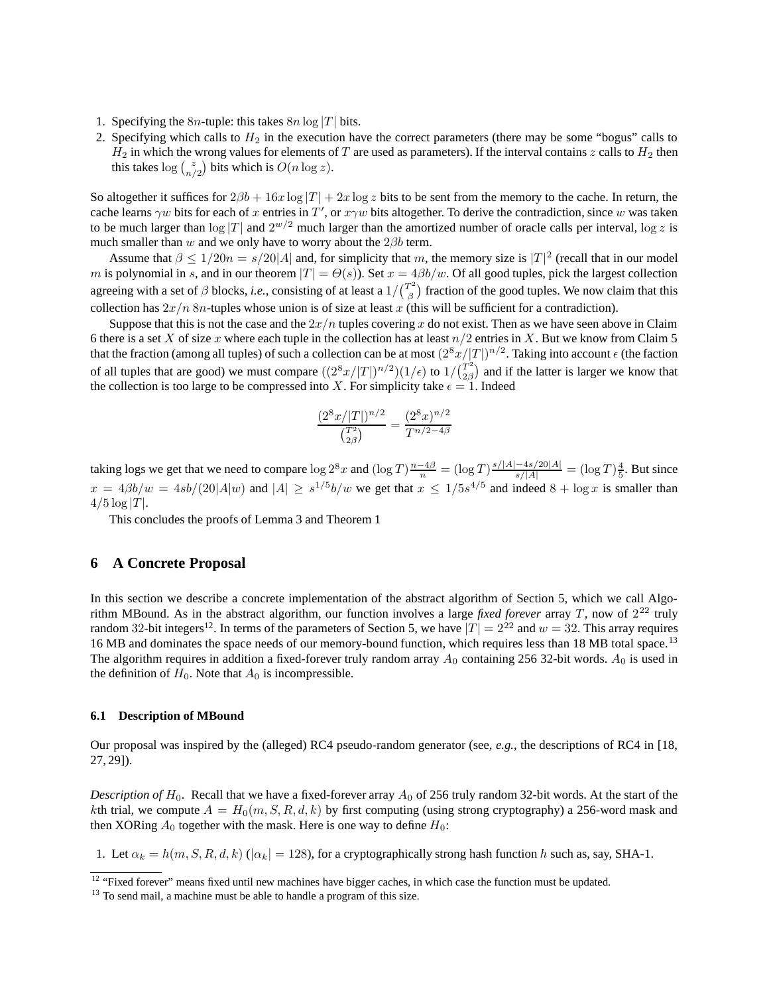- 1. Specifying the 8*n*-tuple: this takes  $8n \log |T|$  bits.
- 2. Specifying which calls to  $H_2$  in the execution have the correct parameters (there may be some "bogus" calls to  $H_2$  in which the wrong values for elements of T are used as parameters). If the interval contains z calls to  $H_2$  then this takes  $\log {z \choose n/2}$  bits which is  $O(n \log z)$ .

So altogether it suffices for  $2\beta b + 16x \log |T| + 2x \log z$  bits to be sent from the memory to the cache. In return, the cache learns  $\gamma w$  bits for each of x entries in T', or  $x\gamma w$  bits altogether. To derive the contradiction, since w was taken to be much larger than  $\log |T|$  and  $2^{w/2}$  much larger than the amortized number of oracle calls per interval,  $\log z$  is much smaller than w and we only have to worry about the  $2\beta b$  term.

Assume that  $\beta \leq 1/20n = s/20|A|$  and, for simplicity that m, the memory size is  $|T|^2$  (recall that in our model m is polynomial in s, and in our theorem  $|T| = \Theta(s)$ . Set  $x = 4\beta b/w$ . Of all good tuples, pick the largest collection agreeing with a set of  $\beta$  blocks, *i.e.*, consisting of at least a  $1/\binom{T^2}{\beta}$  $\binom{n}{\beta}$  fraction of the good tuples. We now claim that this collection has  $2x/n$  8n-tuples whose union is of size at least x (this will be sufficient for a contradiction).

Suppose that this is not the case and the  $2x/n$  tuples covering x do not exist. Then as we have seen above in Claim 6 there is a set X of size x where each tuple in the collection has at least  $n/2$  entries in X. But we know from Claim 5 that the fraction (among all tuples) of such a collection can be at most  $(2^8x/|T|)^{n/2}$ . Taking into account  $\epsilon$  (the faction of all tuples that are good) we must compare  $((2^8x/|T|)^{n/2})(1/\epsilon)$  to  $1/(\frac{T^2}{2\beta})$  $\binom{T^2}{2\beta}$  and if the latter is larger we know that the collection is too large to be compressed into X. For simplicity take  $\epsilon = 1$ . Indeed

$$
\frac{(2^8x/|T|)^{n/2}}{\binom{T^2}{2\beta}} = \frac{(2^8x)^{n/2}}{T^{n/2-4\beta}}
$$

taking logs we get that we need to compare  $\log 2^8 x$  and  $(\log T) \frac{n-4\beta}{n} = (\log T) \frac{s/|A| - 4s/20|A|}{s/|A|} = (\log T) \frac{4}{5}$ . But since  $x = 4\beta b/w = 4sb/(20|A|w)$  and  $|A| \geq s^{1/5}b/w$  we get that  $x \leq 1/5s^{4/5}$  and indeed  $8 + \log x$  is smaller than  $4/5 \log |T|$ .

This concludes the proofs of Lemma 3 and Theorem 1

# **6 A Concrete Proposal**

In this section we describe a concrete implementation of the abstract algorithm of Section 5, which we call Algorithm MBound. As in the abstract algorithm, our function involves a large *fixed forever* array T, now of  $2^{22}$  truly random 32-bit integers<sup>12</sup>. In terms of the parameters of Section 5, we have  $|T| = 2^{22}$  and  $w = 32$ . This array requires 16 MB and dominates the space needs of our memory-bound function, which requires less than 18 MB total space.<sup>13</sup> The algorithm requires in addition a fixed-forever truly random array  $A_0$  containing 256 32-bit words.  $A_0$  is used in the definition of  $H_0$ . Note that  $A_0$  is incompressible.

#### **6.1 Description of MBound**

Our proposal was inspired by the (alleged) RC4 pseudo-random generator (see, *e.g.*, the descriptions of RC4 in [18, 27, 29]).

*Description of*  $H_0$ . Recall that we have a fixed-forever array  $A_0$  of 256 truly random 32-bit words. At the start of the kth trial, we compute  $A = H_0(m, S, R, d, k)$  by first computing (using strong cryptography) a 256-word mask and then XORing  $A_0$  together with the mask. Here is one way to define  $H_0$ :

1. Let  $\alpha_k = h(m, S, R, d, k)$  ( $|\alpha_k| = 128$ ), for a cryptographically strong hash function h such as, say, SHA-1.

 $\frac{12}{12}$  "Fixed forever" means fixed until new machines have bigger caches, in which case the function must be updated.

 $13$  To send mail, a machine must be able to handle a program of this size.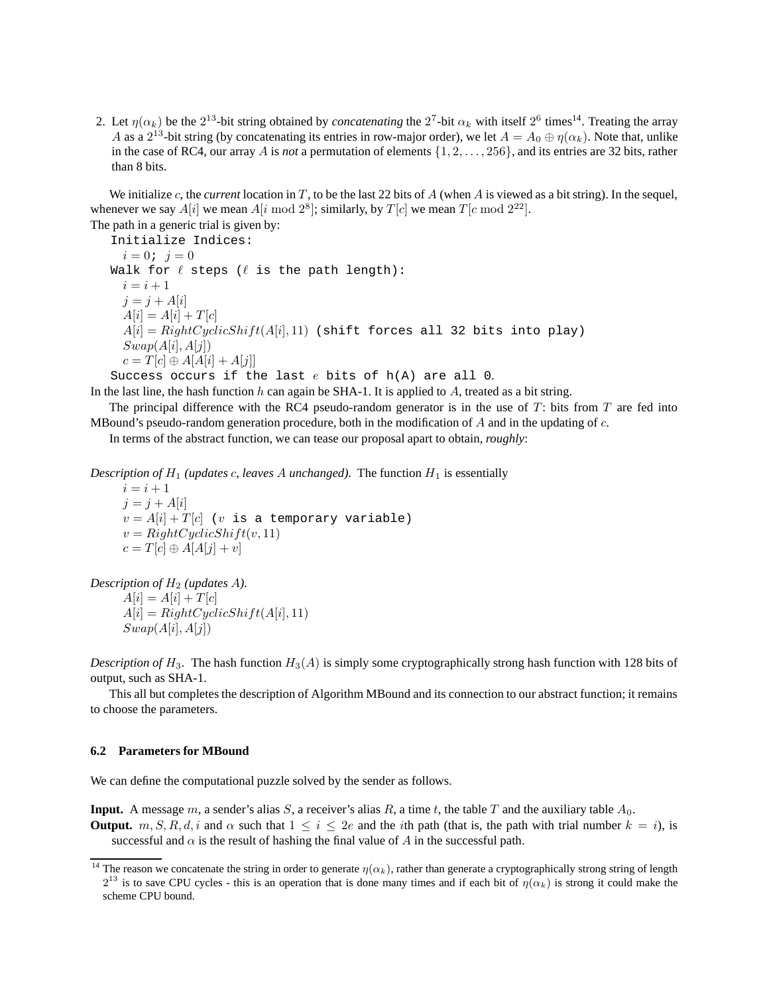2. Let  $\eta(\alpha_k)$  be the  $2^{13}$ -bit string obtained by *concatenating* the  $2^7$ -bit  $\alpha_k$  with itself  $2^6$  times<sup>14</sup>. Treating the array A as a  $2^{13}$ -bit string (by concatenating its entries in row-major order), we let  $A = A_0 \oplus \eta(\alpha_k)$ . Note that, unlike in the case of RC4, our array A is *not* a permutation of elements {1, 2, . . . , 256}, and its entries are 32 bits, rather than 8 bits.

We initialize c, the *current* location in  $T$ , to be the last 22 bits of  $A$  (when  $A$  is viewed as a bit string). In the sequel, whenever we say  $A[i]$  we mean  $A[i \mod 2^8]$ ; similarly, by  $T[c]$  we mean  $T[c \mod 2^{22}]$ .

The path in a generic trial is given by: Initialize Indices:  $i = 0; j = 0$ Walk for  $\ell$  steps ( $\ell$  is the path length):  $i = i + 1$  $j = j + A[i]$  $A[i] = A[i] + T[c]$  $A[i] = RightCyclicShift(A[i], 11)$  (shift forces all 32 bits into play)  $Swap(A[i], A[j])$  $c = T[c] \oplus A[A[i] + A[i]]$ Success occurs if the last  $e$  bits of  $h(A)$  are all 0.

In the last line, the hash function  $h$  can again be SHA-1. It is applied to  $A$ , treated as a bit string.

The principal difference with the RC4 pseudo-random generator is in the use of  $T$ : bits from  $T$  are fed into MBound's pseudo-random generation procedure, both in the modification of  $\tilde{A}$  and in the updating of  $c$ .

In terms of the abstract function, we can tease our proposal apart to obtain, *roughly*:

*Description of*  $H_1$  *(updates c, leaves A unchanged).* The function  $H_1$  is essentially

 $i = i + 1$  $j = j + A[i]$  $v = A[i] + T[c]$  (*v* is a temporary variable)  $v = RightCyclicShift(v, 11)$  $c = T[c] \oplus A[A[j] + v]$ 

*Description of*  $H_2$  *(updates A).*  $A[i] = A[i] + T[c]$  $A[i] = RightCyclicShift(A[i], 11)$  $Swap(A[i], A[j])$ 

*Description of*  $H_3$ . The hash function  $H_3(A)$  is simply some cryptographically strong hash function with 128 bits of output, such as SHA-1.

This all but completes the description of Algorithm MBound and its connection to our abstract function; it remains to choose the parameters.

#### **6.2 Parameters for MBound**

We can define the computational puzzle solved by the sender as follows.

**Input.** A message m, a sender's alias S, a receiver's alias R, a time t, the table T and the auxiliary table  $A_0$ .

**Output.**  $m, S, R, d, i$  and  $\alpha$  such that  $1 \leq i \leq 2e$  and the *i*th path (that is, the path with trial number  $k = i$ ), is successful and  $\alpha$  is the result of hashing the final value of A in the successful path.

<sup>&</sup>lt;sup>14</sup> The reason we concatenate the string in order to generate  $\eta(\alpha_k)$ , rather than generate a cryptographically strong string of length  $2^{13}$  is to save CPU cycles - this is an operation that is done many times and if each bit of  $\eta(\alpha_k)$  is strong it could make the scheme CPU bound.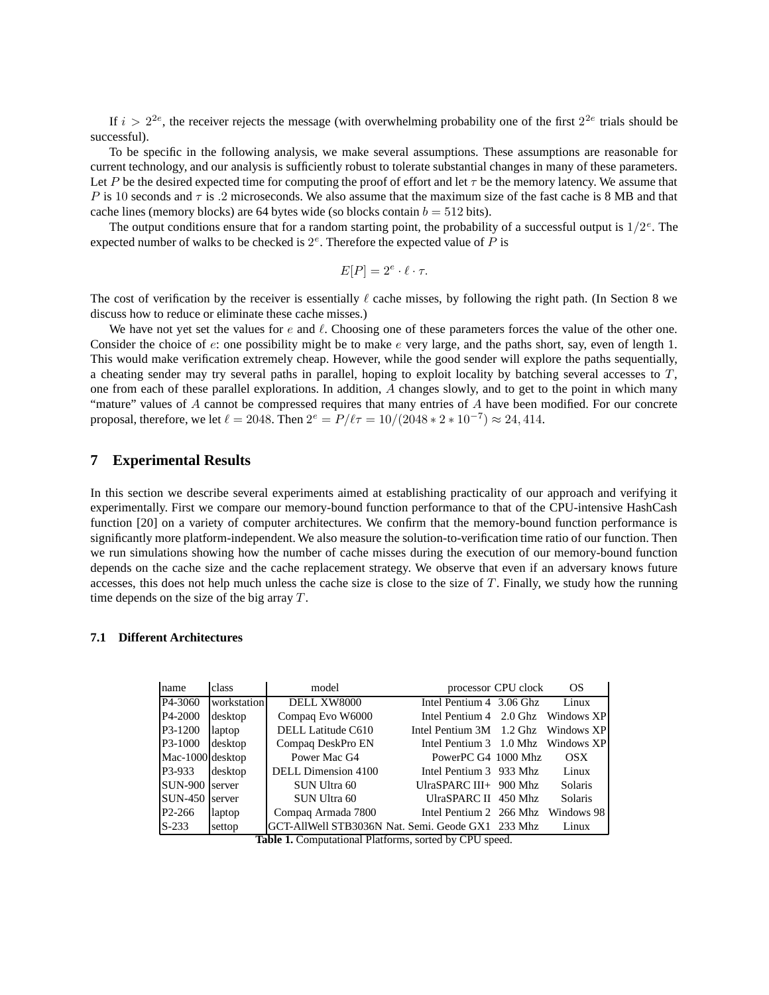If  $i > 2^{2e}$ , the receiver rejects the message (with overwhelming probability one of the first  $2^{2e}$  trials should be successful).

To be specific in the following analysis, we make several assumptions. These assumptions are reasonable for current technology, and our analysis is sufficiently robust to tolerate substantial changes in many of these parameters. Let P be the desired expected time for computing the proof of effort and let  $\tau$  be the memory latency. We assume that P is 10 seconds and  $\tau$  is .2 microseconds. We also assume that the maximum size of the fast cache is 8 MB and that cache lines (memory blocks) are 64 bytes wide (so blocks contain  $b = 512$  bits).

The output conditions ensure that for a random starting point, the probability of a successful output is  $1/2^e$ . The expected number of walks to be checked is  $2^e$ . Therefore the expected value of P is

$$
E[P] = 2^e \cdot \ell \cdot \tau.
$$

The cost of verification by the receiver is essentially  $\ell$  cache misses, by following the right path. (In Section 8 we discuss how to reduce or eliminate these cache misses.)

We have not yet set the values for  $e$  and  $\ell$ . Choosing one of these parameters forces the value of the other one. Consider the choice of e: one possibility might be to make e very large, and the paths short, say, even of length 1. This would make verification extremely cheap. However, while the good sender will explore the paths sequentially, a cheating sender may try several paths in parallel, hoping to exploit locality by batching several accesses to T, one from each of these parallel explorations. In addition, A changes slowly, and to get to the point in which many "mature" values of  $A$  cannot be compressed requires that many entries of  $A$  have been modified. For our concrete proposal, therefore, we let  $\ell = 2048$ . Then  $2^e = P/\ell \tau = 10/(2048 * 2 * 10^{-7}) \approx 24,414$ .

# **7 Experimental Results**

In this section we describe several experiments aimed at establishing practicality of our approach and verifying it experimentally. First we compare our memory-bound function performance to that of the CPU-intensive HashCash function [20] on a variety of computer architectures. We confirm that the memory-bound function performance is significantly more platform-independent. We also measure the solution-to-verification time ratio of our function. Then we run simulations showing how the number of cache misses during the execution of our memory-bound function depends on the cache size and the cache replacement strategy. We observe that even if an adversary knows future accesses, this does not help much unless the cache size is close to the size of  $T$ . Finally, we study how the running time depends on the size of the big array  $T$ .

#### **7.1 Different Architectures**

| name                                                          | class       | model                                             |                                    | processor CPU clock | <sub>OS</sub> |  |
|---------------------------------------------------------------|-------------|---------------------------------------------------|------------------------------------|---------------------|---------------|--|
| P4-3060                                                       | workstation | DELL XW8000                                       | Intel Pentium 4 3.06 Ghz           |                     | Linux         |  |
| P <sub>4</sub> -2000                                          | desktop     | Compaq Evo W6000                                  | Intel Pentium 4 2.0 Ghz Windows XP |                     |               |  |
| P3-1200                                                       | laptop      | DELL Latitude C610                                | Intel Pentium $3M$ 1.2 Ghz         |                     | Windows XP    |  |
| P3-1000                                                       | desktop     | Compaq DeskPro EN                                 | Intel Pentium 3 1.0 Mhz Windows XP |                     |               |  |
| Mac-1000 desktop                                              |             | Power Mac G4                                      | PowerPC G4 1000 Mhz                |                     | <b>OSX</b>    |  |
| P3-933                                                        | desktop     | DELL Dimension 4100                               | Intel Pentium 3 933 Mhz            |                     | Linux         |  |
| <b>SUN-900</b>                                                | server      | SUN Ultra 60                                      | UlraSPARC $III+900$ Mhz            |                     | Solaris       |  |
| <b>SUN-450</b>                                                | server      | SUN Ultra 60                                      | UlraSPARC II 450 Mhz               |                     | Solaris       |  |
| P <sub>2</sub> -266                                           | laptop      | Compaq Armada 7800                                | Intel Pentium 2 266 Mhz Windows 98 |                     |               |  |
| $S-233$                                                       | settop      | GCT-AllWell STB3036N Nat. Semi. Geode GX1 233 Mhz |                                    |                     | Linux         |  |
| <b>Table 1.</b> Computational Platforms, sorted by CPU speed. |             |                                                   |                                    |                     |               |  |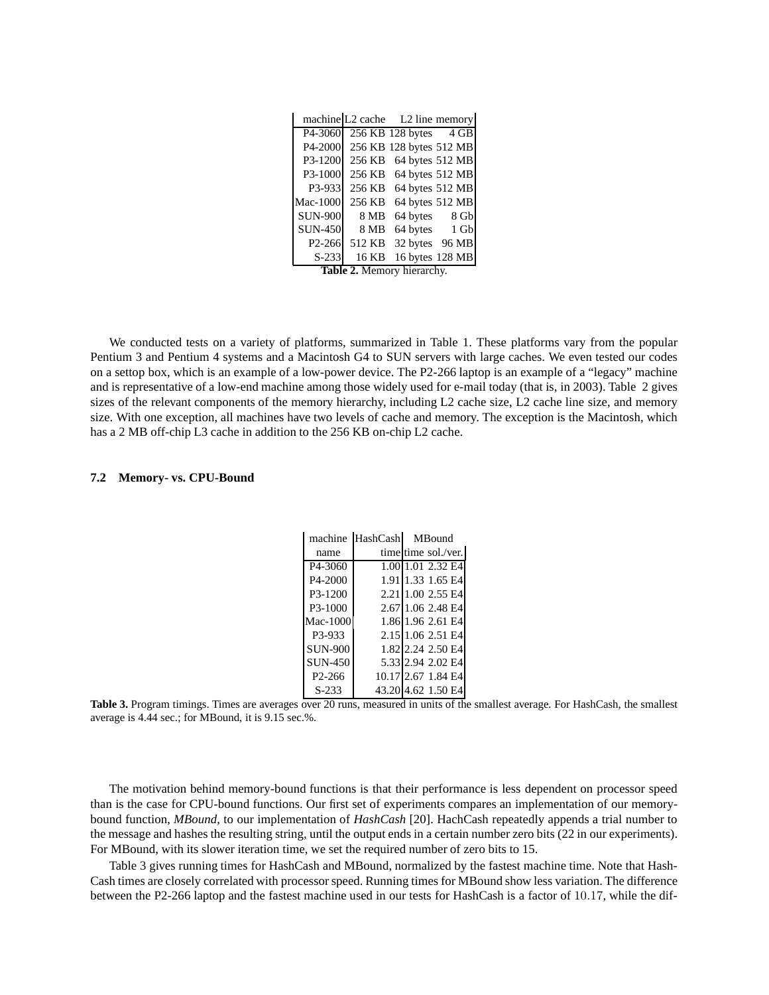|                      |        | machine L2 cache L2 line memory |
|----------------------|--------|---------------------------------|
| P <sub>4</sub> -3060 |        | 256 KB 128 bytes 4 GB           |
| P4-2000              |        | 256 KB 128 bytes 512 MB         |
| P3-1200              | 256 KB | $64$ bytes $512$ MB             |
| P3-1000              | 256 KB | 64 bytes 512 MB                 |
| P3-933               | 256 KB | 64 bytes 512 MB                 |
| Mac-1000             | 256 KB | 64 bytes 512 MB                 |
| <b>SUN-900</b>       | 8 MB   | 64 bytes<br>8 Gb                |
| <b>SUN-450</b>       | 8 MB   | 64 bytes 1 Gb                   |
| P <sub>2</sub> -266  | 512 KB | 32 bytes 96 MB                  |
| $S-233$<br>--        | 16 KB  | 16 bytes 128 MB                 |

**Table 2.** Memory hierarchy.

We conducted tests on a variety of platforms, summarized in Table 1. These platforms vary from the popular Pentium 3 and Pentium 4 systems and a Macintosh G4 to SUN servers with large caches. We even tested our codes on a settop box, which is an example of a low-power device. The P2-266 laptop is an example of a "legacy" machine and is representative of a low-end machine among those widely used for e-mail today (that is, in 2003). Table 2 gives sizes of the relevant components of the memory hierarchy, including L2 cache size, L2 cache line size, and memory size. With one exception, all machines have two levels of cache and memory. The exception is the Macintosh, which has a 2 MB off-chip L3 cache in addition to the 256 KB on-chip L2 cache.

#### **7.2 Memory- vs. CPU-Bound**

|                      | machine HashCash MBound |  |
|----------------------|-------------------------|--|
| name                 | time time sol./ver.     |  |
| P <sub>4</sub> -3060 | 1.00 1.01 2.32 E4       |  |
| P <sub>4</sub> -2000 | 1.9111.33 1.65 E4       |  |
| P3-1200              | 2.211.00 2.55 E4        |  |
| P3-1000              | 2.671.06 2.48 E4        |  |
| Mac-1000             | 1.86 1.96 2.61 E4       |  |
| P3-933               | 2.15 1.06 2.51 E4       |  |
| <b>SUN-900</b>       | 1.82 2.24 2.50 E4       |  |
| <b>SUN-450</b>       | 5.33 2.94 2.02 E4       |  |
| P <sub>2</sub> -266  | 10.1712.67 1.84 E4      |  |
| $S-233$              | 43.20 4.62 1.50 E4      |  |

**Table 3.** Program timings. Times are averages over 20 runs, measured in units of the smallest average. For HashCash, the smallest average is 4.44 sec.; for MBound, it is 9.15 sec.%.

The motivation behind memory-bound functions is that their performance is less dependent on processor speed than is the case for CPU-bound functions. Our first set of experiments compares an implementation of our memorybound function, *MBound*, to our implementation of *HashCash* [20]. HachCash repeatedly appends a trial number to the message and hashes the resulting string, until the output ends in a certain number zero bits (22 in our experiments). For MBound, with its slower iteration time, we set the required number of zero bits to 15.

Table 3 gives running times for HashCash and MBound, normalized by the fastest machine time. Note that Hash-Cash times are closely correlated with processorspeed. Running times for MBound show less variation. The difference between the P2-266 laptop and the fastest machine used in our tests for HashCash is a factor of 10.17, while the dif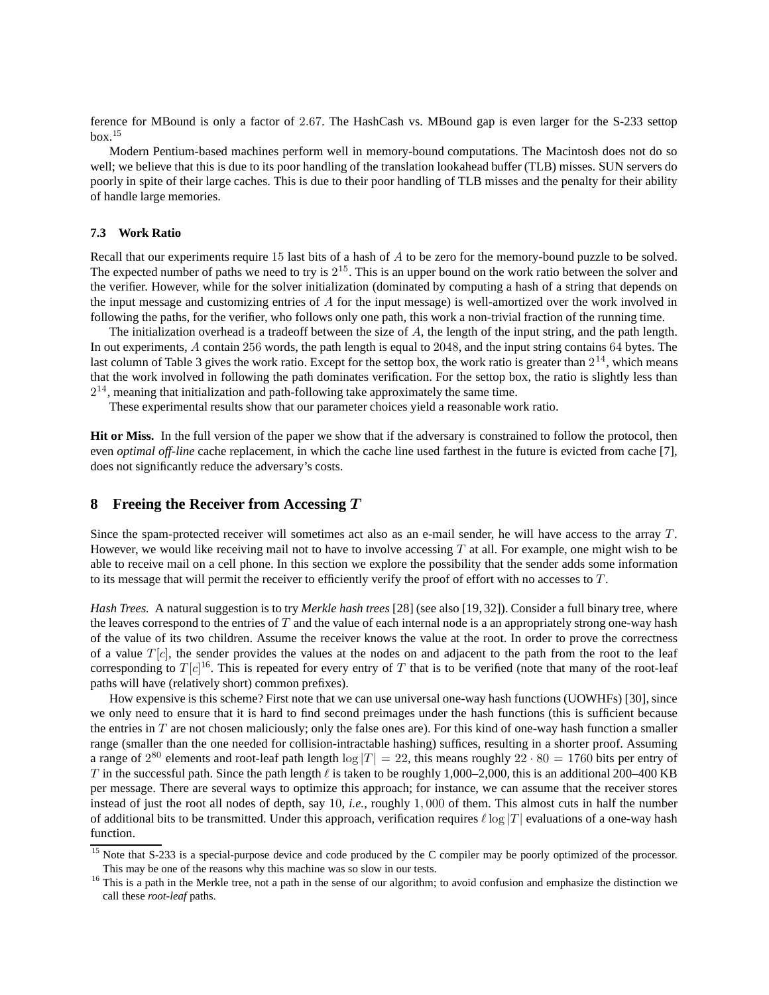ference for MBound is only a factor of 2.67. The HashCash vs. MBound gap is even larger for the S-233 settop  $box.<sup>15</sup>$ 

Modern Pentium-based machines perform well in memory-bound computations. The Macintosh does not do so well; we believe that this is due to its poor handling of the translation lookahead buffer (TLB) misses. SUN servers do poorly in spite of their large caches. This is due to their poor handling of TLB misses and the penalty for their ability of handle large memories.

### **7.3 Work Ratio**

Recall that our experiments require 15 last bits of a hash of A to be zero for the memory-bound puzzle to be solved. The expected number of paths we need to try is  $2^{15}$ . This is an upper bound on the work ratio between the solver and the verifier. However, while for the solver initialization (dominated by computing a hash of a string that depends on the input message and customizing entries of  $A$  for the input message) is well-amortized over the work involved in following the paths, for the verifier, who follows only one path, this work a non-trivial fraction of the running time.

The initialization overhead is a tradeoff between the size of  $A$ , the length of the input string, and the path length. In out experiments, A contain 256 words, the path length is equal to 2048, and the input string contains 64 bytes. The last column of Table 3 gives the work ratio. Except for the settop box, the work ratio is greater than  $2^{14}$ , which means that the work involved in following the path dominates verification. For the settop box, the ratio is slightly less than  $2^{14}$ , meaning that initialization and path-following take approximately the same time.

These experimental results show that our parameter choices yield a reasonable work ratio.

**Hit or Miss.** In the full version of the paper we show that if the adversary is constrained to follow the protocol, then even *optimal off-line* cache replacement, in which the cache line used farthest in the future is evicted from cache [7], does not significantly reduce the adversary's costs.

# **8 Freeing the Receiver from Accessing** T

Since the spam-protected receiver will sometimes act also as an e-mail sender, he will have access to the array T. However, we would like receiving mail not to have to involve accessing  $T$  at all. For example, one might wish to be able to receive mail on a cell phone. In this section we explore the possibility that the sender adds some information to its message that will permit the receiver to efficiently verify the proof of effort with no accesses to T.

*Hash Trees.* A natural suggestion is to try *Merkle hash trees* [28] (see also [19, 32]). Consider a full binary tree, where the leaves correspond to the entries of  $T$  and the value of each internal node is a an appropriately strong one-way hash of the value of its two children. Assume the receiver knows the value at the root. In order to prove the correctness of a value  $T[c]$ , the sender provides the values at the nodes on and adjacent to the path from the root to the leaf corresponding to  $T[c]^{16}$ . This is repeated for every entry of T that is to be verified (note that many of the root-leaf paths will have (relatively short) common prefixes).

How expensive is this scheme? First note that we can use universal one-way hash functions (UOWHFs) [30], since we only need to ensure that it is hard to find second preimages under the hash functions (this is sufficient because the entries in  $T$  are not chosen maliciously; only the false ones are). For this kind of one-way hash function a smaller range (smaller than the one needed for collision-intractable hashing) suffices, resulting in a shorter proof. Assuming a range of  $2^{80}$  elements and root-leaf path length  $\log |T| = 22$ , this means roughly  $22 \cdot 80 = 1760$  bits per entry of T in the successful path. Since the path length  $\ell$  is taken to be roughly 1,000–2,000, this is an additional 200–400 KB per message. There are several ways to optimize this approach; for instance, we can assume that the receiver stores instead of just the root all nodes of depth, say 10, *i.e.*, roughly 1, 000 of them. This almost cuts in half the number of additional bits to be transmitted. Under this approach, verification requires  $\ell \log |T|$  evaluations of a one-way hash function.

<sup>&</sup>lt;sup>15</sup> Note that S-233 is a special-purpose device and code produced by the C compiler may be poorly optimized of the processor. This may be one of the reasons why this machine was so slow in our tests.

<sup>&</sup>lt;sup>16</sup> This is a path in the Merkle tree, not a path in the sense of our algorithm; to avoid confusion and emphasize the distinction we call these *root-leaf* paths.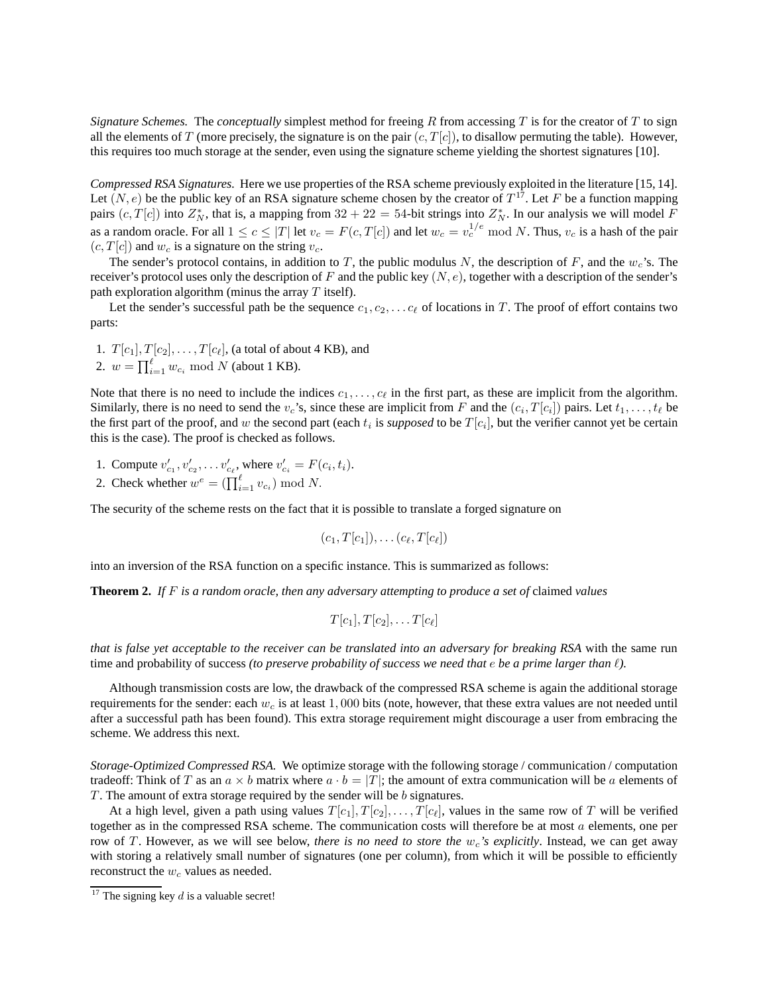*Signature Schemes.* The *conceptually* simplest method for freeing R from accessing T is for the creator of T to sign all the elements of T (more precisely, the signature is on the pair  $(c, T[c])$ , to disallow permuting the table). However, this requires too much storage at the sender, even using the signature scheme yielding the shortest signatures [10].

*Compressed RSA Signatures.* Here we use properties of the RSA scheme previously exploited in the literature [15, 14]. Let  $(N, e)$  be the public key of an RSA signature scheme chosen by the creator of  $T^{17}$ . Let F be a function mapping pairs  $(c, T[c])$  into  $Z_N^*$ , that is, a mapping from  $32 + 22 = 54$ -bit strings into  $Z_N^*$ . In our analysis we will model F as a random oracle. For all  $1 \le c \le |T|$  let  $v_c = F(c, T[c])$  and let  $w_c = v_c^{1/e} \mod N$ . Thus,  $v_c$  is a hash of the pair  $(c, T[c])$  and  $w_c$  is a signature on the string  $v_c$ .

The sender's protocol contains, in addition to T, the public modulus N, the description of F, and the  $w_c$ 's. The receiver's protocol uses only the description of F and the public key  $(N, e)$ , together with a description of the sender's path exploration algorithm (minus the array  $T$  itself).

Let the sender's successful path be the sequence  $c_1, c_2, \ldots c_\ell$  of locations in T. The proof of effort contains two parts:

1.  $T[c_1], T[c_2], \ldots, T[c_\ell]$ , (a total of about 4 KB), and 2.  $w = \prod_{i=1}^{\ell} w_{c_i} \bmod N$  (about 1 KB).

Note that there is no need to include the indices  $c_1, \ldots, c_\ell$  in the first part, as these are implicit from the algorithm. Similarly, there is no need to send the  $v_c$ 's, since these are implicit from F and the  $(c_i, T[c_i])$  pairs. Let  $t_1, \ldots, t_\ell$  be the first part of the proof, and w the second part (each  $t_i$  is *supposed* to be  $T[c_i]$ , but the verifier cannot yet be certain this is the case). The proof is checked as follows.

- 1. Compute  $v'_{c_1}, v'_{c_2}, \ldots v'_{c_\ell}$ , where  $v'_{c_i} = F(c_i, t_i)$ .
- 2. Check whether  $w^e = \prod_{i=1}^{\ell} v_{c_i}$  mod N.

The security of the scheme rests on the fact that it is possible to translate a forged signature on

$$
(c_1, T[c_1]), \ldots (c_{\ell}, T[c_{\ell}])
$$

into an inversion of the RSA function on a specific instance. This is summarized as follows:

**Theorem 2.** *If* F *is a random oracle, then any adversary attempting to produce a set of* claimed *values*

$$
T[c_1], T[c_2], \ldots T[c_\ell]
$$

that is false yet acceptable to the receiver can be translated into an adversary for breaking RSA with the same run time and probability of success *(to preserve probability of success we need that*  $e$  *be a prime larger than*  $\ell$ ).

Although transmission costs are low, the drawback of the compressed RSA scheme is again the additional storage requirements for the sender: each  $w_c$  is at least 1,000 bits (note, however, that these extra values are not needed until after a successful path has been found). This extra storage requirement might discourage a user from embracing the scheme. We address this next.

*Storage-Optimized Compressed RSA.* We optimize storage with the following storage / communication / computation tradeoff: Think of T as an  $a \times b$  matrix where  $a \cdot b = |T|$ ; the amount of extra communication will be a elements of T. The amount of extra storage required by the sender will be b signatures.

At a high level, given a path using values  $T[c_1], T[c_2], \ldots, T[c_\ell]$ , values in the same row of T will be verified together as in the compressed RSA scheme. The communication costs will therefore be at most  $a$  elements, one per row of T. However, as we will see below, *there is no need to store the* wc*'s explicitly*. Instead, we can get away with storing a relatively small number of signatures (one per column), from which it will be possible to efficiently reconstruct the  $w_c$  values as needed.

<sup>&</sup>lt;sup>17</sup> The signing key  $d$  is a valuable secret!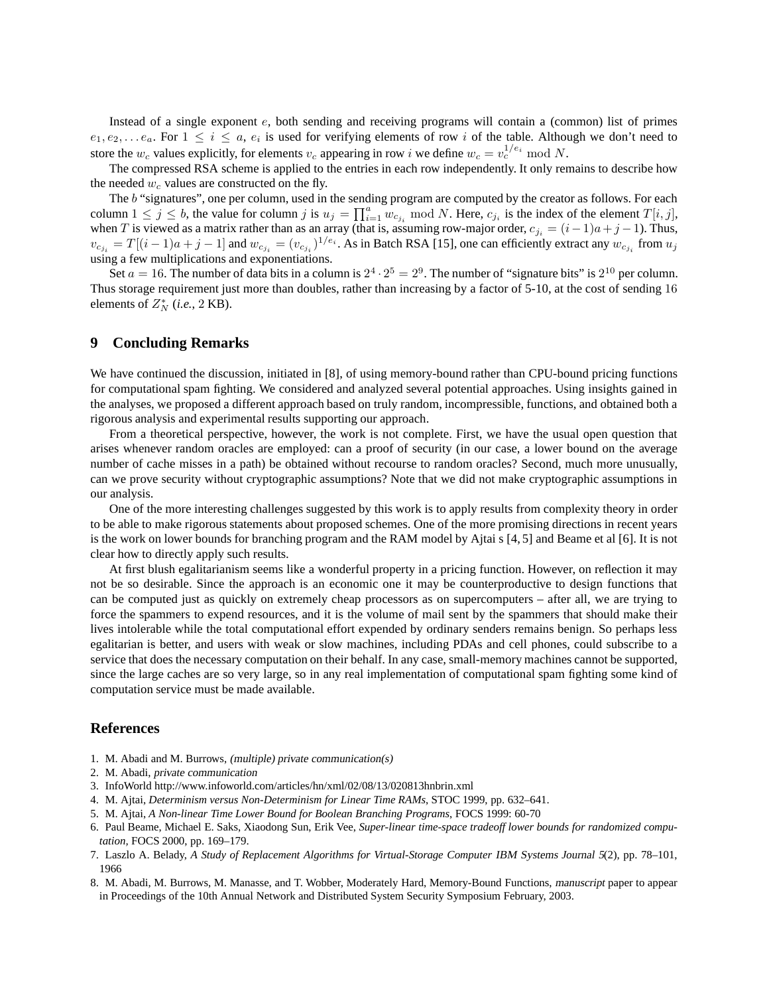Instead of a single exponent e, both sending and receiving programs will contain a (common) list of primes  $e_1, e_2, \ldots e_a$ . For  $1 \leq i \leq a$ ,  $e_i$  is used for verifying elements of row i of the table. Although we don't need to store the  $w_c$  values explicitly, for elements  $v_c$  appearing in row i we define  $w_c = v_c^{1/e_i} \mod N$ .

The compressed RSA scheme is applied to the entries in each row independently. It only remains to describe how the needed  $w_c$  values are constructed on the fly.

The b "signatures", one per column, used in the sending program are computed by the creator as follows. For each column  $1 \leq j \leq b$ , the value for column j is  $u_j = \prod_{i=1}^a w_{c_{j_i}} \mod N$ . Here,  $c_{j_i}$  is the index of the element  $T[i, j]$ , when T is viewed as a matrix rather than as an array (that is, assuming row-major order,  $c_{j_i} = (i-1)a+j-1$ ). Thus,  $v_{c_{j_i}} = T[(i-1)a+j-1]$  and  $w_{c_{j_i}} = (v_{c_{j_i}})^{1/e_i}$ . As in Batch RSA [15], one can efficiently extract any  $w_{c_{j_i}}$  from  $u_j$ using a few multiplications and exponentiations.

Set  $a = 16$ . The number of data bits in a column is  $2^4 \cdot 2^5 = 2^9$ . The number of "signature bits" is  $2^{10}$  per column. Thus storage requirement just more than doubles, rather than increasing by a factor of 5-10, at the cost of sending 16 elements of  $Z_N^*$  (*i.e.*, 2 KB).

## **9 Concluding Remarks**

We have continued the discussion, initiated in [8], of using memory-bound rather than CPU-bound pricing functions for computational spam fighting. We considered and analyzed several potential approaches. Using insights gained in the analyses, we proposed a different approach based on truly random, incompressible, functions, and obtained both a rigorous analysis and experimental results supporting our approach.

From a theoretical perspective, however, the work is not complete. First, we have the usual open question that arises whenever random oracles are employed: can a proof of security (in our case, a lower bound on the average number of cache misses in a path) be obtained without recourse to random oracles? Second, much more unusually, can we prove security without cryptographic assumptions? Note that we did not make cryptographic assumptions in our analysis.

One of the more interesting challenges suggested by this work is to apply results from complexity theory in order to be able to make rigorous statements about proposed schemes. One of the more promising directions in recent years is the work on lower bounds for branching program and the RAM model by Ajtai s [4, 5] and Beame et al [6]. It is not clear how to directly apply such results.

At first blush egalitarianism seems like a wonderful property in a pricing function. However, on reflection it may not be so desirable. Since the approach is an economic one it may be counterproductive to design functions that can be computed just as quickly on extremely cheap processors as on supercomputers – after all, we are trying to force the spammers to expend resources, and it is the volume of mail sent by the spammers that should make their lives intolerable while the total computational effort expended by ordinary senders remains benign. So perhaps less egalitarian is better, and users with weak or slow machines, including PDAs and cell phones, could subscribe to a service that does the necessary computation on their behalf. In any case, small-memory machines cannot be supported, since the large caches are so very large, so in any real implementation of computational spam fighting some kind of computation service must be made available.

## **References**

- 1. M. Abadi and M. Burrows, (multiple) private communication(s)
- 2. M. Abadi, private communication
- 3. InfoWorld http://www.infoworld.com/articles/hn/xml/02/08/13/020813hnbrin.xml
- 4. M. Ajtai, *Determinism versus Non-Determinism for Linear Time RAMs*, STOC 1999, pp. 632–641.
- 5. M. Ajtai, *A Non-linear Time Lower Bound for Boolean Branching Programs*, FOCS 1999: 60-70
- 6. Paul Beame, Michael E. Saks, Xiaodong Sun, Erik Vee, *Super-linear time-space tradeoff lower bounds for randomized computation,* FOCS 2000, pp. 169–179.
- 7. Laszlo A. Belady, *A Study of Replacement Algorithms for Virtual-Storage Computer* IBM Systems Journal <sup>5</sup>(2), pp. 78–101, 1966
- 8. M. Abadi, M. Burrows, M. Manasse, and T. Wobber, Moderately Hard, Memory-Bound Functions, manuscript paper to appear in Proceedings of the 10th Annual Network and Distributed System Security Symposium February, 2003.